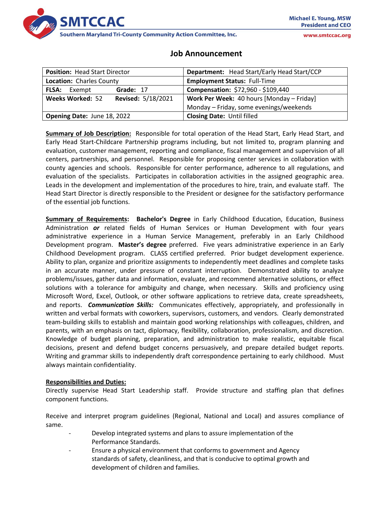

www.smtccac.org

# **Job Announcement**

| <b>Position: Head Start Director</b>          | Department: Head Start/Early Head Start/CCP |
|-----------------------------------------------|---------------------------------------------|
| <b>Location: Charles County</b>               | <b>Employment Status: Full-Time</b>         |
| Grade: 17<br><b>FLSA:</b><br>Exempt           | Compensation: \$72,960 - \$109,440          |
| <b>Revised: 5/18/2021</b><br>Weeks Worked: 52 | Work Per Week: 40 hours [Monday – Friday]   |
|                                               | Monday - Friday, some evenings/weekends     |
| Opening Date: June 18, 2022                   | <b>Closing Date: Until filled</b>           |

**Summary of Job Description:** Responsible for total operation of the Head Start, Early Head Start, and Early Head Start-Childcare Partnership programs including, but not limited to, program planning and evaluation, customer management, reporting and compliance, fiscal management and supervision of all centers, partnerships, and personnel. Responsible for proposing center services in collaboration with county agencies and schools. Responsible for center performance, adherence to all regulations, and evaluation of the specialists. Participates in collaboration activities in the assigned geographic area. Leads in the development and implementation of the procedures to hire, train, and evaluate staff. The Head Start Director is directly responsible to the President or designee for the satisfactory performance of the essential job functions.

**Summary of Requirements: Bachelor's Degree** in Early Childhood Education, Education, Business Administration *or* related fields of Human Services or Human Development with four years administrative experience in a Human Service Management, preferably in an Early Childhood Development program. **Master's degree** preferred. Five years administrative experience in an Early Childhood Development program. CLASS certified preferred. Prior budget development experience. Ability to plan, organize and prioritize assignments to independently meet deadlines and complete tasks in an accurate manner, under pressure of constant interruption. Demonstrated ability to analyze problems/issues, gather data and information, evaluate, and recommend alternative solutions, or effect solutions with a tolerance for ambiguity and change, when necessary. Skills and proficiency using Microsoft Word, Excel, Outlook, or other software applications to retrieve data, create spreadsheets, and reports. *Communication Skills:* Communicates effectively, appropriately, and professionally in written and verbal formats with coworkers, supervisors, customers, and vendors. Clearly demonstrated team-building skills to establish and maintain good working relationships with colleagues, children, and parents, with an emphasis on tact, diplomacy, flexibility, collaboration, professionalism, and discretion. Knowledge of budget planning, preparation, and administration to make realistic, equitable fiscal decisions, present and defend budget concerns persuasively, and prepare detailed budget reports. Writing and grammar skills to independently draft correspondence pertaining to early childhood. Must always maintain confidentiality.

## **Responsibilities and Duties:**

Directly supervise Head Start Leadership staff. Provide structure and staffing plan that defines component functions.

Receive and interpret program guidelines (Regional, National and Local) and assures compliance of same.

- Develop integrated systems and plans to assure implementation of the Performance Standards.
- Ensure a physical environment that conforms to government and Agency standards of safety, cleanliness, and that is conducive to optimal growth and development of children and families.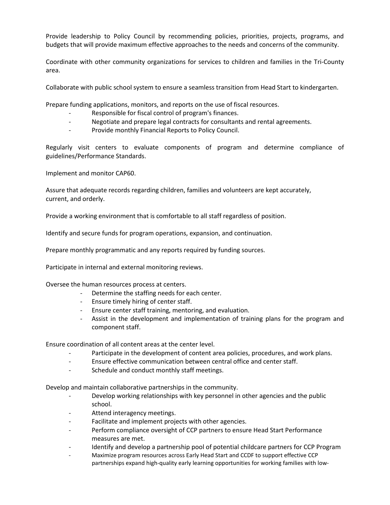Provide leadership to Policy Council by recommending policies, priorities, projects, programs, and budgets that will provide maximum effective approaches to the needs and concerns of the community.

Coordinate with other community organizations for services to children and families in the Tri-County area.

Collaborate with public school system to ensure a seamless transition from Head Start to kindergarten.

Prepare funding applications, monitors, and reports on the use of fiscal resources.

- Responsible for fiscal control of program's finances.
- Negotiate and prepare legal contracts for consultants and rental agreements.
- Provide monthly Financial Reports to Policy Council.

Regularly visit centers to evaluate components of program and determine compliance of guidelines/Performance Standards.

Implement and monitor CAP60.

Assure that adequate records regarding children, families and volunteers are kept accurately, current, and orderly.

Provide a working environment that is comfortable to all staff regardless of position.

Identify and secure funds for program operations, expansion, and continuation.

Prepare monthly programmatic and any reports required by funding sources.

Participate in internal and external monitoring reviews.

Oversee the human resources process at centers.

- Determine the staffing needs for each center.
- Ensure timely hiring of center staff.
- Ensure center staff training, mentoring, and evaluation.
- Assist in the development and implementation of training plans for the program and component staff.

Ensure coordination of all content areas at the center level.

- Participate in the development of content area policies, procedures, and work plans.
- Ensure effective communication between central office and center staff.
- Schedule and conduct monthly staff meetings.

Develop and maintain collaborative partnerships in the community.

- Develop working relationships with key personnel in other agencies and the public school.
- Attend interagency meetings.
- Facilitate and implement projects with other agencies.
- Perform compliance oversight of CCP partners to ensure Head Start Performance measures are met.
- Identify and develop a partnership pool of potential childcare partners for CCP Program
- Maximize program resources across Early Head Start and CCDF to support effective CCP partnerships expand high-quality early learning opportunities for working families with low-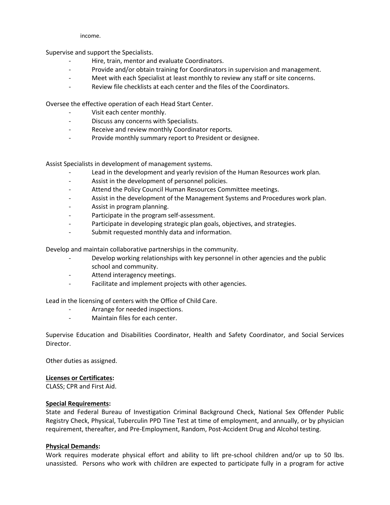income.

Supervise and support the Specialists.

- Hire, train, mentor and evaluate Coordinators.
- Provide and/or obtain training for Coordinators in supervision and management.
- Meet with each Specialist at least monthly to review any staff or site concerns.
- Review file checklists at each center and the files of the Coordinators.

Oversee the effective operation of each Head Start Center.

- Visit each center monthly.
- Discuss any concerns with Specialists.
- Receive and review monthly Coordinator reports.
- Provide monthly summary report to President or designee.

Assist Specialists in development of management systems.

- Lead in the development and yearly revision of the Human Resources work plan.
- Assist in the development of personnel policies.
- Attend the Policy Council Human Resources Committee meetings.
- Assist in the development of the Management Systems and Procedures work plan.
- Assist in program planning.
- Participate in the program self-assessment.
- Participate in developing strategic plan goals, objectives, and strategies.
- Submit requested monthly data and information.

Develop and maintain collaborative partnerships in the community.

- Develop working relationships with key personnel in other agencies and the public school and community.
- Attend interagency meetings.
- Facilitate and implement projects with other agencies.

Lead in the licensing of centers with the Office of Child Care.

- Arrange for needed inspections.
- Maintain files for each center.

Supervise Education and Disabilities Coordinator, Health and Safety Coordinator, and Social Services Director.

Other duties as assigned.

## **Licenses or Certificates:**

CLASS; CPR and First Aid.

## **Special Requirements:**

State and Federal Bureau of Investigation Criminal Background Check, National Sex Offender Public Registry Check, Physical, Tuberculin PPD Tine Test at time of employment, and annually, or by physician requirement, thereafter, and Pre-Employment, Random, Post-Accident Drug and Alcohol testing.

## **Physical Demands:**

Work requires moderate physical effort and ability to lift pre-school children and/or up to 50 lbs. unassisted. Persons who work with children are expected to participate fully in a program for active